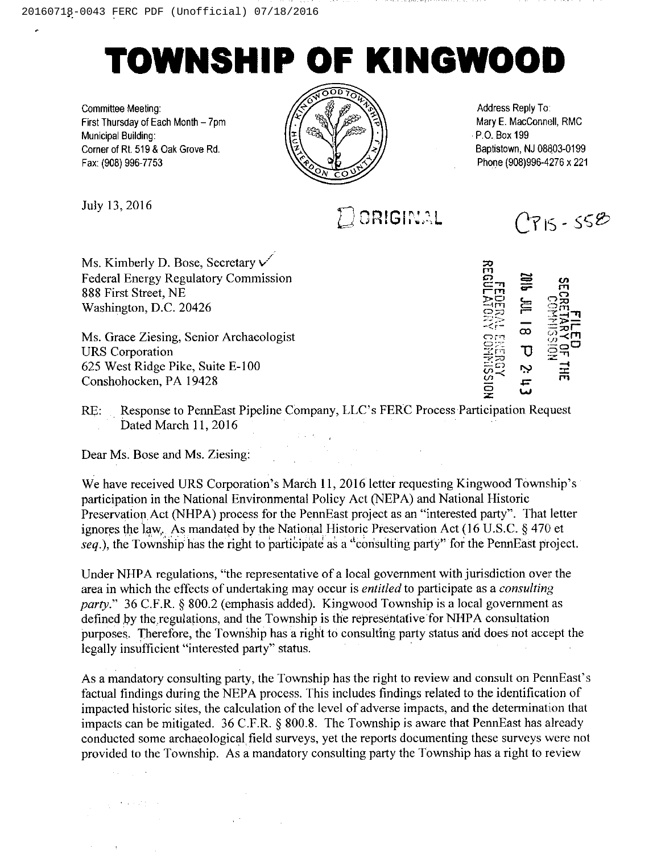## TOWNSHIP Of KINGWOOD

Committee Meeting: First Thursday of Each Month —7pm Municipal Building Corner of Rt. 519 & Oak Grove Rd. Fax:(908) 996-7753



Address Reply To Mary E. MacConnell, RMC P.O. Box 199 Baptistown, NJ 08803-0199 Phone (908)996-4276 x 221

July 13, 2016  $\Box$  ORIGINAL

Ms. Kimberly D. Bose, Secretary V Federal Energy Regulatory Commission 888 First Street, NE Washington, D.C. 20426

Ms. Grace Ziesing, Senior Archaeologist URS Corporation 625 West Ridge Pike, Suite E-100 Conshohocken, PA 19428

RE: Response to PennEast Pipeline Company, LLC's FERC Process Participation Request Dated March 11,2016

Dear Ms. Bose and Ms. Ziesing:

We have received URS Corporation's March 11, 2016 letter requesting Kingwood Township's participation in the National Environmental Policy Act (NEPA) and National Historic Preservation Act (NHPA) process for the PennEast project as an "interested party". That letter ignores the law. As mandated by the National Historic Preservation Act (16 U.S.C.  $\S$  470 et seq.), the Township has the right to participate as a "consulting party" for the PennEast project.

Under NHPA regulations, "the representative of a local government with jurisdiction over the area in which the effects of undertaking may occur is *entitled* to participate as a *consulting* party." 36 C.F.R. § 800.2 (emphasis added). Kingwood Township is a local government as defined by the regulations, and the Township is the representative for NHPA consultation purposes. Therefore, the Township has a right to consulting party status and does not accept the legally insufficient "interested party" status.

As a mandatory consulting party, the Township has the right to review and consult on PennEast's factual findings during the NEPA process. This includes findings related to the identification of impacted historic sites, the calculation of the level of adverse impacts, and the determination that impacts can be mitigated.  $36$  C.F.R. § 800.8. The Township is aware that PennEast has already conducted some archaeological field surveys, yet the reports documenting these surveys were not provided to the Township. As a mandatory consulting party the Township has a right to review

m  $\bm{c}$  $\Xi$  li m Tu<br>PH ្មដ្ឋ C I ;;;<br>|225<br>|305  $\infty$ C.  $\Xi^\square$ r=  $\frac{25}{25}$ I  $\mathcal{Q}$  $\circ$ 

 $C715 - 558$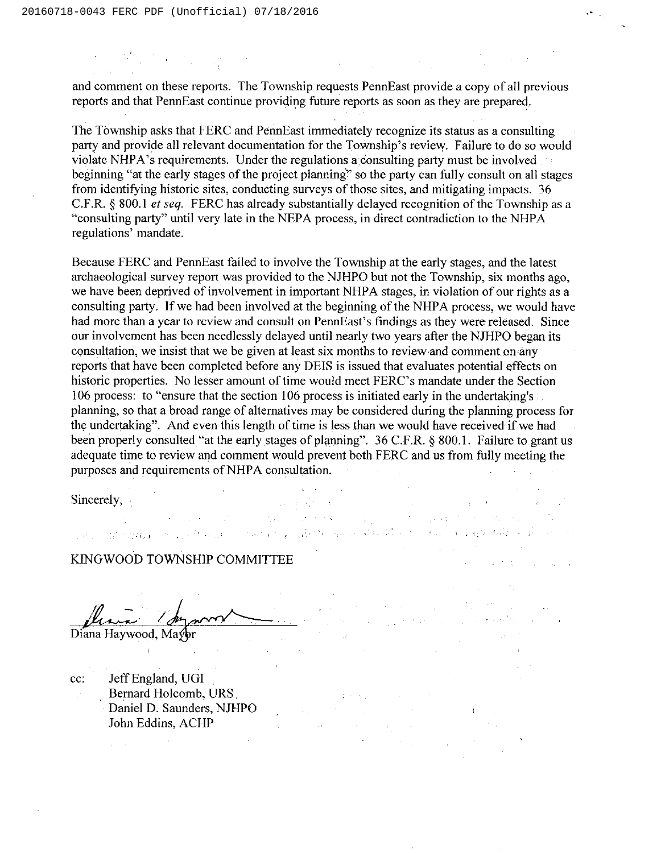and comment on these reports. The Township requests PennEast provide a copy of all previous reports and that PennEast continue providing future reports as soon as they are prepared.

 $\label{eq:2.1} \mathcal{L}(\mathcal{L}^{\text{max}}_{\mathcal{L}}(\mathcal{L}^{\text{max}}_{\mathcal{L}})) \leq \mathcal{L}(\mathcal{L}^{\text{max}}_{\mathcal{L}}(\mathcal{L}^{\text{max}}_{\mathcal{L}})) \leq \mathcal{L}(\mathcal{L}^{\text{max}}_{\mathcal{L}}(\mathcal{L}^{\text{max}}_{\mathcal{L}}))$ 

The Township asks that FERC and PennEast immediately recognize its status as a consulting party and provide all relevant documentation for the Township's review. Failure to do so would violate NHPA's requirements. Under the regulations a consulting party must be involved beginning "at the early stages of the project planning" so the party can fully consult on all stages from identifying historic sites, conducting surveys of those sites, and mitigating impacts. 36 C.F.R. § 800.1 et seq. FERC has already substantially delayed recognition of the Township as a "consulting party" until very late in the NEPA process, in direct contradiction to the NHPA regulations' mandate.

Because FERC and PennEast failed to involve the Township at the early stages, and the latest archaeological survey report was provided to the NJHPO but not the Township, six months ago, we have been deprived of involvement in important NHPA stages, in violation of our rights as a consulting party. If we had been involved at the beginning of the NHPA process, we would have had more than a year to review and consult on PennEast's findings as they were released. Since our involvement has been needlessly delayed until nearly two years after the NJHPO began its consultation, we insist that we be given at least six months to review and comment on any reports that have been completed before any DEIS is issued that evaluates potential effects on historic properties. No lesser amount of time would meet FERC's mandate under the Section 106 process: to "ensure that the section 106 process is initiated early in the undertaking's planning, so that a broad range of alternatives may be considered during the planning process for the undertaking". And even this length of time is less than we would have received if we had been properly consulted "at the early stages of planning".  $36$  C.F.R. § 800.1. Failure to grant us adequate time to review and comment would prevent both FERC and us from fully meeting the purposes and requirements of NHPA consultation.  $\mathcal{A}=\{x_1,\ldots,x_n\}$  ,  $\mathcal{A}=\{x_1,\ldots,x_n\}$  $\label{eq:1} \frac{1}{2} \int_{\mathbb{R}^3} \frac{1}{\sqrt{2}} \, \frac{1}{\sqrt{2}} \, \frac{1}{\sqrt{2}} \, \frac{1}{\sqrt{2}} \, \frac{1}{\sqrt{2}} \, \frac{1}{\sqrt{2}} \, \frac{1}{\sqrt{2}} \, \frac{1}{\sqrt{2}} \, \frac{1}{\sqrt{2}} \, \frac{1}{\sqrt{2}} \, \frac{1}{\sqrt{2}} \, \frac{1}{\sqrt{2}} \, \frac{1}{\sqrt{2}} \, \frac{1}{\sqrt{2}} \, \frac{1}{\sqrt{2}} \, \frac{1}{\sqrt{2}} \, \frac$ 

Car Brand

 $\mathcal{L}^{\text{max}}$ 

Sincerely,

## KINGWOOD TOWNSHIP COMMITTEE

Diana Haywood, Mayor

 $\mathcal{A}^{\pm}$ 

cc: Jeff England, UGI Bernard Holcomb, URS Daniel D. Saunders, NJHPO John Eddins, ACHP

 $\sim 10^{11}$  km  $^{-1}$ 

an<br>Bernard Constantinople of the Constantinople<br>Bernard Constantinople of Land Constantinople a proprietoria de la proprieta de la california de la california de 

 $\label{eq:2.1} \mathcal{L}_{\mathcal{A}}(\mathbf{x}) = \mathcal{L}_{\mathcal{A}}(\mathbf{x}) = \mathcal{L}_{\mathcal{A}}(\mathbf{x}) = \mathcal{L}_{\mathcal{A}}(\mathbf{x})$ 

 $\sim 4.00$  M  $_\odot$  .  $\label{eq:2.1} \mathcal{L}=\mathcal{L}^{\frac{1}{2}}\left(\mathcal{L}^{\frac{1}{2}}\right)^{-1}\mathcal{L}^{\frac{1}{2}}\left(\mathcal{L}^{\frac{1}{2}}\right)^{-1}\mathcal{L}^{\frac{1}{2}}\left(\mathcal{L}^{\frac{1}{2}}\right)^{-1}\mathcal{L}^{\frac{1}{2}}\left(\mathcal{L}^{\frac{1}{2}}\right)^{-1}\mathcal{L}^{\frac{1}{2}}\left(\mathcal{L}^{\frac{1}{2}}\right)^{-1}\mathcal{L}^{\frac{1}{2}}\left(\mathcal{L}^{\frac{1}{2}}$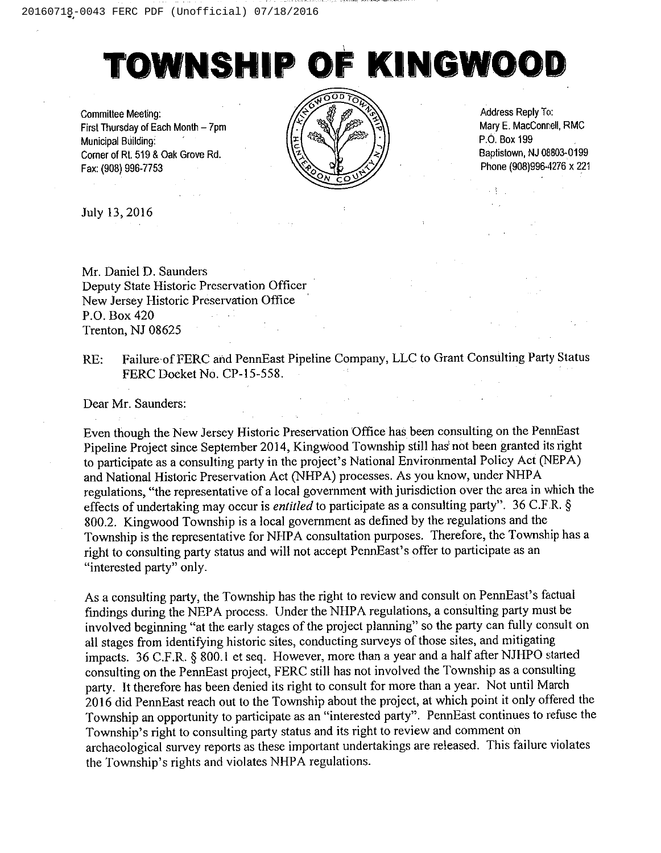## TOWNSHIP OF KINGWOOD

Committee Meeting: First Thursday of Each Month —7pm Municipal Building: Corner of Rt. 519 & Oak Grove Rd. Fax; (908) 996-7753



Address Reply To: Mary E. MacConnell, RMC P.O. Box 199 Baptistown, NJ 08803-0199 Phone (908)996-4276 x 221

July 13, 2016

Mr. Daniel D. Saunders Deputy State Historic Preservation Officer New Jersey Historic Preservation Office P.O. Box 420 Trenton, NJ 08625

RE: Failure of FERC and PennEast Pipeline Company, LLC to Grant Consulting Party Status FERC Docket No. CP-15-558.

Dear Mr. Saunders:

Even though the New Jersey Historic Preservation Office has been consulting on the PennEast Pipeline Project since September 2014, Kingwood Township still has not been granted its right to participate as a consulting party in the project's National Environmental Policy Act (NEPA) and National Historic Preservation Act (NHPA) processes. As you know, under NHPA regulations, "the representative of a local government with jurisdiction over the area in which the effects of undertaking may occur is entitled to participate as a consulting party". 36 C.F.R. § 800.2. Kingwood Township is a local government as defined by the regulations and the Township is the representative for NHPA consultation purposes. Therefore, the Township has a right to consulting party status and will not accept PennEast's offer to participate as an "interested party" only.

As a consulting party, the Township has the right to review and consult on PennEast's factual findings during the NEPA process. Under the NHPA regulations, a consulting party must be involved beginning "at the early stages of the project planning" so the party can fully consult on all stages from identifying historic sites, conducting surveys of those sites, and mitigating impacts. 36 C.F.R. § 800.1 et seq. However, more than a year and a half after NJHPO started consulting on the PennEast project, FERC still has not involved the Township as a consulting party. It therefore has been denied its right to consult for more than a year. Not until March 2016 did PennEast reach out to the Township about the project, at which point it only offered the Township an opportunity to participate as an "interested party". PennEast continues to refuse the Township's right to consulting party status and its right to review and comment on archaeological survey reports as these important undertakings are released. This failure violates the Township's rights and violates NHPA regulations.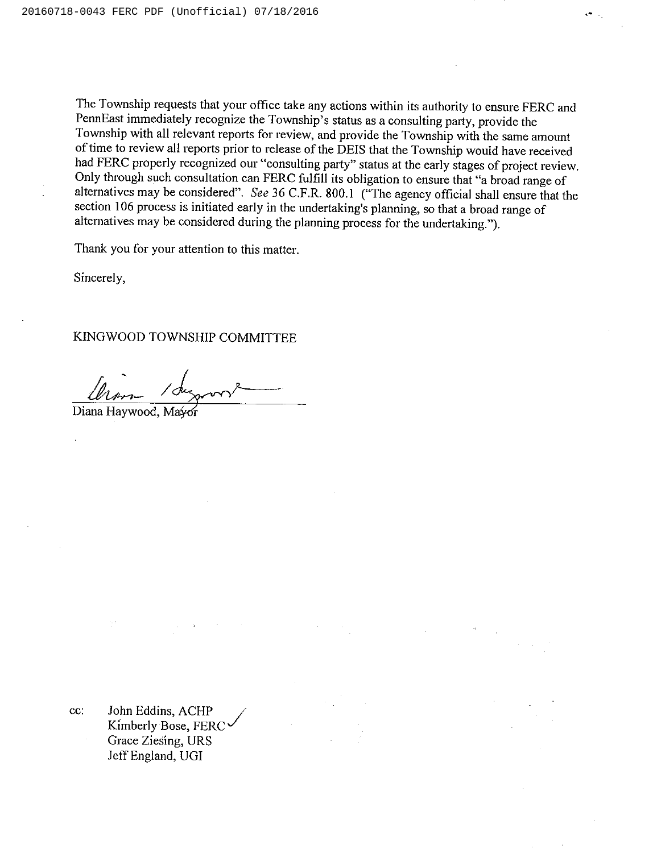The Township requests that your office take any actions within its authority to ensure FERC and PennEast immediately recognize the Township's status as a consulting party, provide the Township with all relevant reports for review, and provide the Township with the same amount oftime to review all reports prior to release of the DEIS that the Township would have received had FERC properly recognized our "consulting party" status at the early stages of project review. Only through such consultation can FERC fulfill its obligation to ensure that "a broad range of alternatives may be considered". See 36 C.F.R.800.1 ("The agency official shall ensure that the section 106 process is initiated early in the undertaking's planning, so that a broad range of alternatives may be considered during the planning process for the undertaking.").

Thank you for your attention to this matter.

Sincerely,

KINGWOOD TOWNSHIP COMMITTEE

Diana Haywood, Mayor

cc: John Eddins, ACHP Kimberly Bose, FERC Grace Ziesing, URS Jeff England, UGI